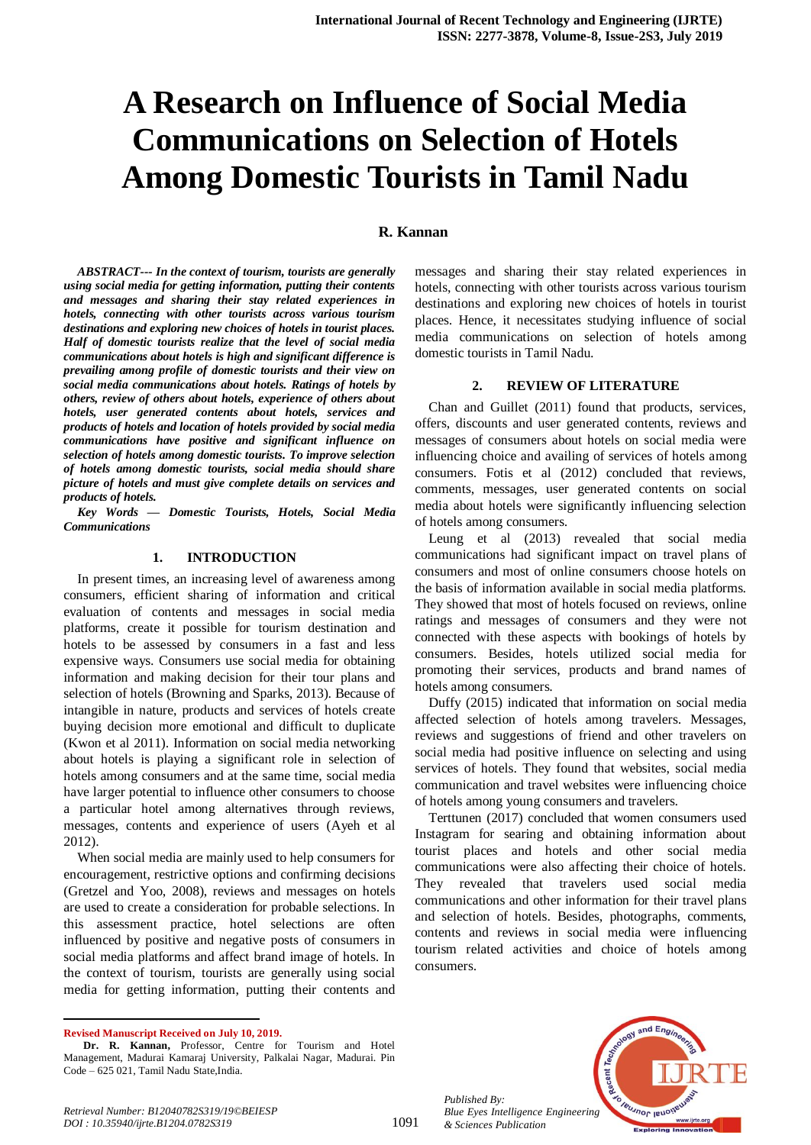# **A Research on Influence of Social Media Communications on Selection of Hotels Among Domestic Tourists in Tamil Nadu**

#### **R. Kannan**

*ABSTRACT--- In the context of tourism, tourists are generally using social media for getting information, putting their contents and messages and sharing their stay related experiences in hotels, connecting with other tourists across various tourism destinations and exploring new choices of hotels in tourist places. Half of domestic tourists realize that the level of social media communications about hotels is high and significant difference is prevailing among profile of domestic tourists and their view on social media communications about hotels. Ratings of hotels by others, review of others about hotels, experience of others about hotels, user generated contents about hotels, services and products of hotels and location of hotels provided by social media communications have positive and significant influence on selection of hotels among domestic tourists. To improve selection of hotels among domestic tourists, social media should share picture of hotels and must give complete details on services and products of hotels.*

*Key Words — Domestic Tourists, Hotels, Social Media Communications*

#### **1. INTRODUCTION**

In present times, an increasing level of awareness among consumers, efficient sharing of information and critical evaluation of contents and messages in social media platforms, create it possible for tourism destination and hotels to be assessed by consumers in a fast and less expensive ways. Consumers use social media for obtaining information and making decision for their tour plans and selection of hotels (Browning and Sparks, 2013). Because of intangible in nature, products and services of hotels create buying decision more emotional and difficult to duplicate (Kwon et al 2011). Information on social media networking about hotels is playing a significant role in selection of hotels among consumers and at the same time, social media have larger potential to influence other consumers to choose a particular hotel among alternatives through reviews, messages, contents and experience of users (Ayeh et al 2012).

When social media are mainly used to help consumers for encouragement, restrictive options and confirming decisions (Gretzel and Yoo, 2008), reviews and messages on hotels are used to create a consideration for probable selections. In this assessment practice, hotel selections are often influenced by positive and negative posts of consumers in social media platforms and affect brand image of hotels. In the context of tourism, tourists are generally using social media for getting information, putting their contents and messages and sharing their stay related experiences in hotels, connecting with other tourists across various tourism destinations and exploring new choices of hotels in tourist places. Hence, it necessitates studying influence of social media communications on selection of hotels among domestic tourists in Tamil Nadu.

#### **2. REVIEW OF LITERATURE**

Chan and Guillet (2011) found that products, services, offers, discounts and user generated contents, reviews and messages of consumers about hotels on social media were influencing choice and availing of services of hotels among consumers. Fotis et al (2012) concluded that reviews, comments, messages, user generated contents on social media about hotels were significantly influencing selection of hotels among consumers.

Leung et al (2013) revealed that social media communications had significant impact on travel plans of consumers and most of online consumers choose hotels on the basis of information available in social media platforms. They showed that most of hotels focused on reviews, online ratings and messages of consumers and they were not connected with these aspects with bookings of hotels by consumers. Besides, hotels utilized social media for promoting their services, products and brand names of hotels among consumers.

Duffy (2015) indicated that information on social media affected selection of hotels among travelers. Messages, reviews and suggestions of friend and other travelers on social media had positive influence on selecting and using services of hotels. They found that websites, social media communication and travel websites were influencing choice of hotels among young consumers and travelers.

Terttunen (2017) concluded that women consumers used Instagram for searing and obtaining information about tourist places and hotels and other social media communications were also affecting their choice of hotels. They revealed that travelers used social media communications and other information for their travel plans and selection of hotels. Besides, photographs, comments, contents and reviews in social media were influencing tourism related activities and choice of hotels among consumers.

 $\overline{a}$ 

*Published By: Blue Eyes Intelligence Engineering & Sciences Publication* 



**Revised Manuscript Received on July 10, 2019.**

**Dr. R. Kannan,** Professor, Centre for Tourism and Hotel Management, Madurai Kamaraj University, Palkalai Nagar, Madurai. Pin Code – 625 021, Tamil Nadu State,India.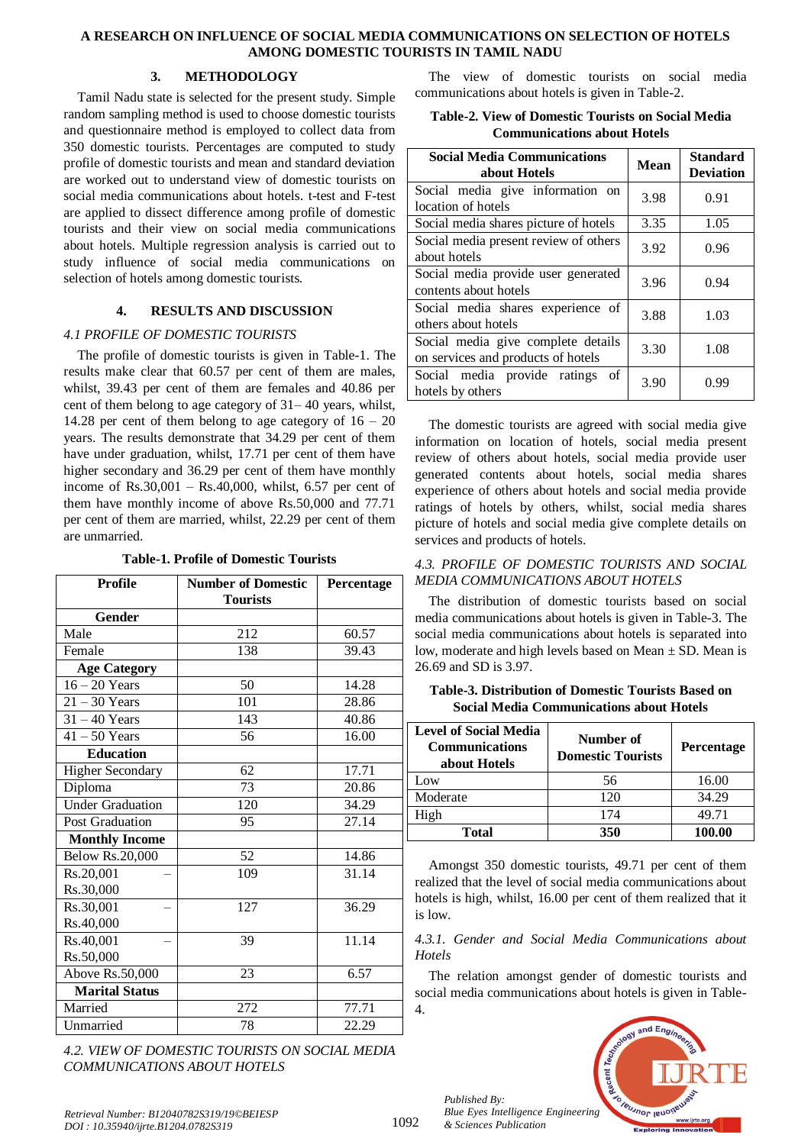## **A RESEARCH ON INFLUENCE OF SOCIAL MEDIA COMMUNICATIONS ON SELECTION OF HOTELS AMONG DOMESTIC TOURISTS IN TAMIL NADU**

# **3. METHODOLOGY**

Tamil Nadu state is selected for the present study. Simple random sampling method is used to choose domestic tourists and questionnaire method is employed to collect data from 350 domestic tourists. Percentages are computed to study profile of domestic tourists and mean and standard deviation are worked out to understand view of domestic tourists on social media communications about hotels. t-test and F-test are applied to dissect difference among profile of domestic tourists and their view on social media communications about hotels. Multiple regression analysis is carried out to study influence of social media communications on selection of hotels among domestic tourists.

# **4. RESULTS AND DISCUSSION**

# *4.1 PROFILE OF DOMESTIC TOURISTS*

The profile of domestic tourists is given in Table-1. The results make clear that 60.57 per cent of them are males, whilst, 39.43 per cent of them are females and 40.86 per cent of them belong to age category of 31– 40 years, whilst, 14.28 per cent of them belong to age category of  $16 - 20$ years. The results demonstrate that 34.29 per cent of them have under graduation, whilst, 17.71 per cent of them have higher secondary and 36.29 per cent of them have monthly income of Rs.30,001 – Rs.40,000, whilst, 6.57 per cent of them have monthly income of above Rs.50,000 and 77.71 per cent of them are married, whilst, 22.29 per cent of them are unmarried.

**Table-1. Profile of Domestic Tourists**

| <b>Profile</b>          | <b>Number of Domestic</b> | Percentage |
|-------------------------|---------------------------|------------|
|                         | <b>Tourists</b>           |            |
| Gender                  |                           |            |
| Male                    | 212                       | 60.57      |
| Female                  | 138                       | 39.43      |
| <b>Age Category</b>     |                           |            |
| $16 - 20$ Years         | 50                        | 14.28      |
| $21 - 30$ Years         | 101                       | 28.86      |
| $31 - 40$ Years         | 143                       | 40.86      |
| $41 - 50$ Years         | 56                        | 16.00      |
| <b>Education</b>        |                           |            |
| <b>Higher Secondary</b> | 62                        | 17.71      |
| Diploma                 | 73                        | 20.86      |
| <b>Under Graduation</b> | 120                       | 34.29      |
| <b>Post Graduation</b>  | 95                        | 27.14      |
| <b>Monthly Income</b>   |                           |            |
| <b>Below Rs.20,000</b>  | 52                        | 14.86      |
| Rs.20,001               | 109                       | 31.14      |
| Rs.30,000               |                           |            |
| Rs.30,001               | 127                       | 36.29      |
| Rs.40,000               |                           |            |
| Rs.40,001               | 39                        | 11.14      |
| Rs.50,000               |                           |            |
| Above Rs.50,000         | 23                        | 6.57       |
| <b>Marital Status</b>   |                           |            |
| Married                 | 272                       | 77.71      |
| Unmarried               | 78                        | 22.29      |

*4.2. VIEW OF DOMESTIC TOURISTS ON SOCIAL MEDIA COMMUNICATIONS ABOUT HOTELS*

The view of domestic tourists on social media communications about hotels is given in Table-2.

| Table-2. View of Domestic Tourists on Social Media |  |
|----------------------------------------------------|--|
| <b>Communications about Hotels</b>                 |  |

| <b>Social Media Communications</b><br>about Hotels                       | <b>Mean</b> | <b>Standard</b><br><b>Deviation</b> |
|--------------------------------------------------------------------------|-------------|-------------------------------------|
| Social media give information on<br>location of hotels                   | 3.98        | 0.91                                |
| Social media shares picture of hotels                                    | 3.35        | 1.05                                |
| Social media present review of others<br>about hotels                    | 3.92        | 0.96                                |
| Social media provide user generated<br>contents about hotels             | 3.96        | 0.94                                |
| Social media shares experience of<br>others about hotels                 | 3.88        | 1.03                                |
| Social media give complete details<br>on services and products of hotels | 3.30        | 1.08                                |
| Social media provide ratings<br>of<br>hotels by others                   | 3.90        | 0.99                                |

The domestic tourists are agreed with social media give information on location of hotels, social media present review of others about hotels, social media provide user generated contents about hotels, social media shares experience of others about hotels and social media provide ratings of hotels by others, whilst, social media shares picture of hotels and social media give complete details on services and products of hotels.

# *4.3. PROFILE OF DOMESTIC TOURISTS AND SOCIAL MEDIA COMMUNICATIONS ABOUT HOTELS*

The distribution of domestic tourists based on social media communications about hotels is given in Table-3. The social media communications about hotels is separated into low, moderate and high levels based on Mean ± SD. Mean is 26.69 and SD is 3.97.

| <b>Level of Social Media</b><br><b>Communications</b><br>about Hotels | Number of<br><b>Domestic Tourists</b> | Percentage |  |
|-----------------------------------------------------------------------|---------------------------------------|------------|--|
| Low                                                                   | 56                                    | 16.00      |  |
| Moderate                                                              | 120                                   | 34.29      |  |
| High                                                                  | 174                                   | 49.71      |  |
| <b>Total</b>                                                          | 350                                   | 100.00     |  |

**Table-3. Distribution of Domestic Tourists Based on Social Media Communications about Hotels**

Amongst 350 domestic tourists, 49.71 per cent of them realized that the level of social media communications about hotels is high, whilst, 16.00 per cent of them realized that it is low.

## *4.3.1. Gender and Social Media Communications about Hotels*

The relation amongst gender of domestic tourists and social media communications about hotels is given in Table-4.



*Published By: Blue Eyes Intelligence Engineering & Sciences Publication* 

1092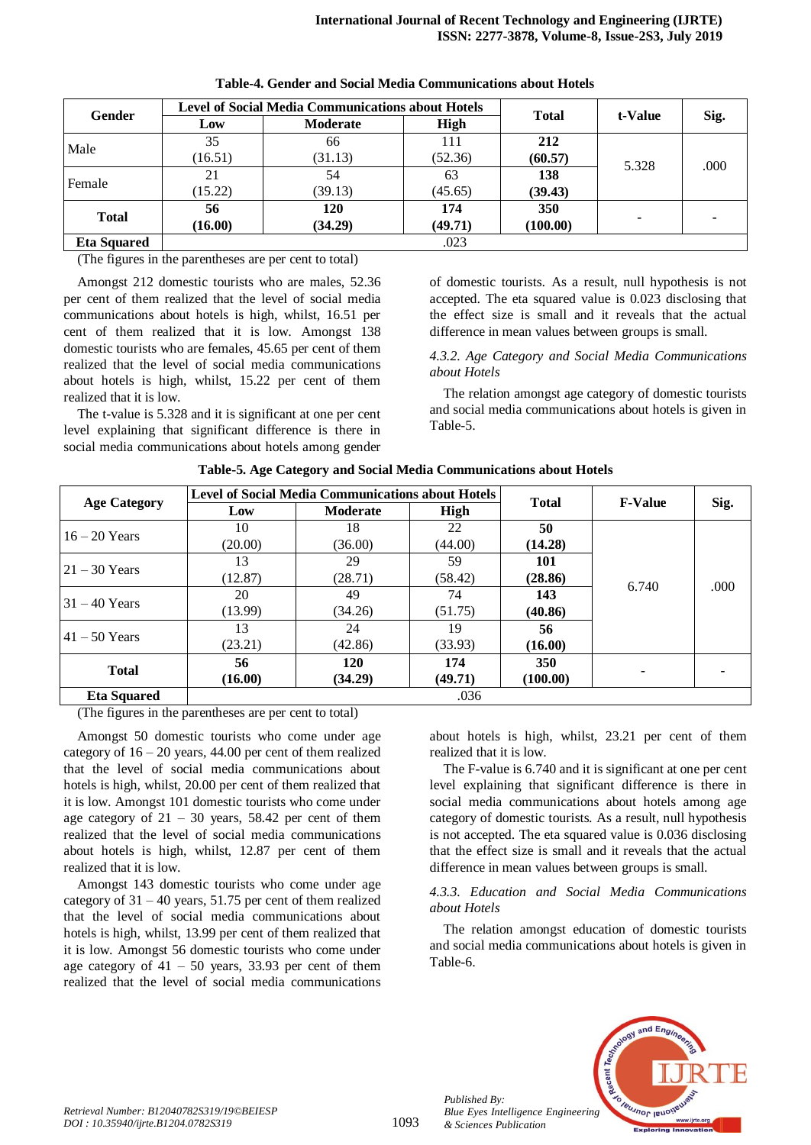| Gender             | <b>Level of Social Media Communications about Hotels</b> |                 |         |                                                                      |                  |      |
|--------------------|----------------------------------------------------------|-----------------|---------|----------------------------------------------------------------------|------------------|------|
|                    | Low                                                      | <b>Moderate</b> | High    |                                                                      | t-Value<br>5.328 | Sig. |
| Male               | 35                                                       | 66              | 111     | 212                                                                  |                  |      |
|                    | 16.51)                                                   | (31.13)         | (52.36) | (60.57)                                                              |                  | .000 |
| Female             | 21                                                       | 54              | 63      | 138                                                                  |                  |      |
|                    | (15.22)                                                  | (39.13)         | (45.65) | <b>Total</b><br>(39.43)<br>174<br>350<br>(100.00)<br>(49.71)<br>.023 |                  |      |
| <b>Total</b>       | 56                                                       | 120             |         |                                                                      |                  |      |
|                    | (16.00)                                                  | (34.29)         |         |                                                                      |                  |      |
| <b>Eta Squared</b> |                                                          |                 |         |                                                                      |                  |      |

|  |  |  |  | Table-4. Gender and Social Media Communications about Hotels |  |  |
|--|--|--|--|--------------------------------------------------------------|--|--|
|--|--|--|--|--------------------------------------------------------------|--|--|

(The figures in the parentheses are per cent to total)

Amongst 212 domestic tourists who are males, 52.36 per cent of them realized that the level of social media communications about hotels is high, whilst, 16.51 per cent of them realized that it is low. Amongst 138 domestic tourists who are females, 45.65 per cent of them realized that the level of social media communications about hotels is high, whilst, 15.22 per cent of them realized that it is low.

The t-value is 5.328 and it is significant at one per cent level explaining that significant difference is there in social media communications about hotels among gender

of domestic tourists. As a result, null hypothesis is not accepted. The eta squared value is 0.023 disclosing that the effect size is small and it reveals that the actual difference in mean values between groups is small.

*4.3.2. Age Category and Social Media Communications about Hotels* 

The relation amongst age category of domestic tourists and social media communications about hotels is given in Table-5.

|                     |         | <b>Level of Social Media Communications about Hotels</b> |         |          | <b>Total</b>            |      |
|---------------------|---------|----------------------------------------------------------|---------|----------|-------------------------|------|
| <b>Age Category</b> | Low     | <b>Moderate</b>                                          | High    |          |                         | Sig. |
| $16 - 20$ Years     | 10      | 18                                                       | 22      | 50       |                         |      |
|                     | (20.00) | (36.00)                                                  | (44.00) | (14.28)  |                         |      |
| $21 - 30$ Years     | 13      | 29                                                       | 59      | 101      | <b>F-Value</b><br>6.740 |      |
|                     | (12.87) | (28.71)                                                  | (58.42) | (28.86)  |                         | .000 |
| $-31 - 40$ Years    | 20      | 49                                                       | 74      | 143      |                         |      |
|                     | (13.99) | (34.26)                                                  | (51.75) | (40.86)  |                         |      |
| $41 - 50$ Years     | 13      | 24                                                       | 19      | 56       |                         |      |
|                     | (23.21) | (42.86)                                                  | (33.93) | (16.00)  |                         |      |
|                     | 56      | 120                                                      | 174     | 350      |                         |      |
| <b>Total</b>        | (16.00) | (34.29)                                                  | (49.71) | (100.00) |                         |      |
| <b>Eta Squared</b>  |         |                                                          | .036    |          |                         |      |

**Table-5. Age Category and Social Media Communications about Hotels**

(The figures in the parentheses are per cent to total)

Amongst 50 domestic tourists who come under age category of  $16 - 20$  years, 44.00 per cent of them realized that the level of social media communications about hotels is high, whilst, 20.00 per cent of them realized that it is low. Amongst 101 domestic tourists who come under age category of  $21 - 30$  years, 58.42 per cent of them realized that the level of social media communications about hotels is high, whilst, 12.87 per cent of them realized that it is low.

Amongst 143 domestic tourists who come under age category of  $31 - 40$  years,  $51.75$  per cent of them realized that the level of social media communications about hotels is high, whilst, 13.99 per cent of them realized that it is low. Amongst 56 domestic tourists who come under age category of  $41 - 50$  years, 33.93 per cent of them realized that the level of social media communications

about hotels is high, whilst, 23.21 per cent of them realized that it is low.

The F-value is 6.740 and it is significant at one per cent level explaining that significant difference is there in social media communications about hotels among age category of domestic tourists. As a result, null hypothesis is not accepted. The eta squared value is 0.036 disclosing that the effect size is small and it reveals that the actual difference in mean values between groups is small.

# *4.3.3. Education and Social Media Communications about Hotels*

The relation amongst education of domestic tourists and social media communications about hotels is given in Table-6.



*Published By:*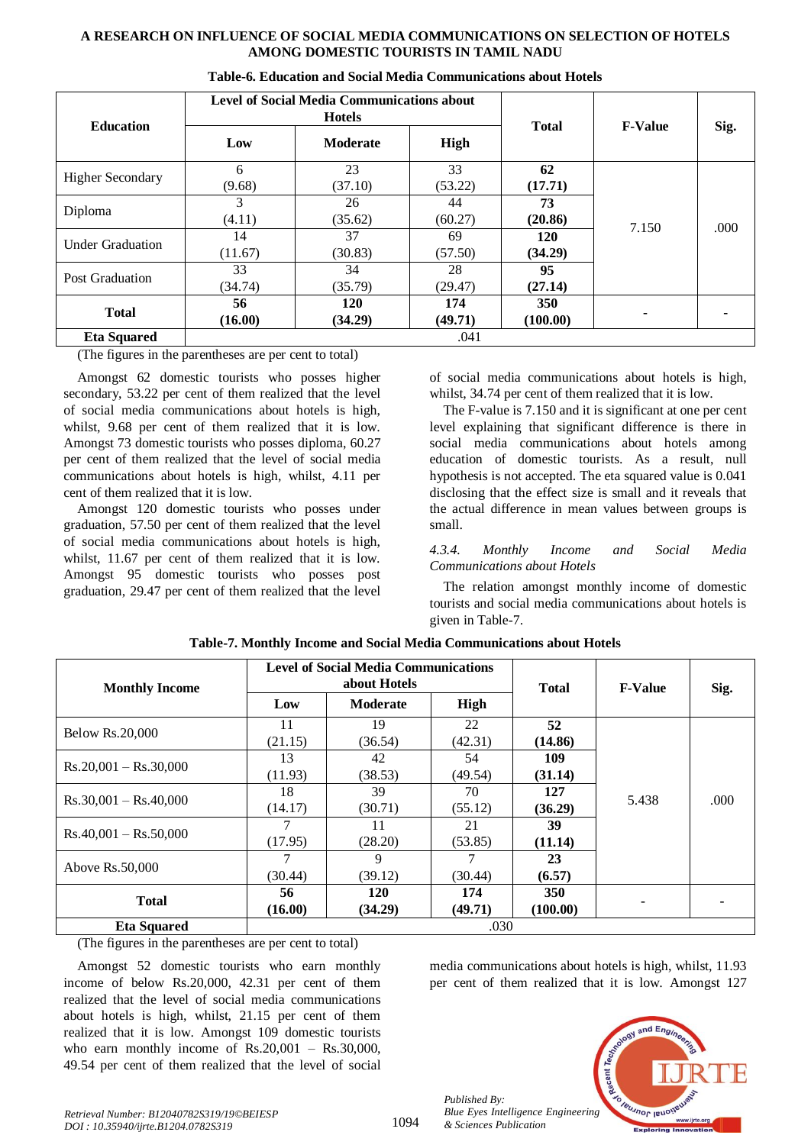## **A RESEARCH ON INFLUENCE OF SOCIAL MEDIA COMMUNICATIONS ON SELECTION OF HOTELS AMONG DOMESTIC TOURISTS IN TAMIL NADU**

|                         |               | <b>Level of Social Media Communications about</b><br><b>Hotels</b> |                |                        |                |      |
|-------------------------|---------------|--------------------------------------------------------------------|----------------|------------------------|----------------|------|
| <b>Education</b>        | Low           | <b>Moderate</b>                                                    | High           | <b>Total</b>           | <b>F-Value</b> | Sig. |
| <b>Higher Secondary</b> | 6<br>(9.68)   | 23<br>(37.10)                                                      | 33<br>(53.22)  | 62<br>(17.71)          | 7.150          |      |
| Diploma                 | 3<br>(4.11)   | 26<br>(35.62)                                                      | 44<br>(60.27)  | 73<br>(20.86)          |                | .000 |
| <b>Under Graduation</b> | 14<br>(11.67) | 37<br>(30.83)                                                      | 69<br>(57.50)  | <b>120</b><br>(34.29)  |                |      |
| Post Graduation         | 33<br>(34.74) | 34<br>(35.79)                                                      | 28<br>(29.47)  | 95<br>(27.14)          |                |      |
| <b>Total</b>            | 56<br>(16.00) | <b>120</b><br>(34.29)                                              | 174<br>(49.71) | <b>350</b><br>(100.00) |                |      |
| <b>Eta Squared</b>      |               |                                                                    | .041           |                        |                |      |

|  |  |  |  |  | Table-6. Education and Social Media Communications about Hotels |  |  |
|--|--|--|--|--|-----------------------------------------------------------------|--|--|
|--|--|--|--|--|-----------------------------------------------------------------|--|--|

(The figures in the parentheses are per cent to total)

Amongst 62 domestic tourists who posses higher secondary, 53.22 per cent of them realized that the level of social media communications about hotels is high, whilst, 9.68 per cent of them realized that it is low. Amongst 73 domestic tourists who posses diploma, 60.27 per cent of them realized that the level of social media communications about hotels is high, whilst, 4.11 per cent of them realized that it is low.

Amongst 120 domestic tourists who posses under graduation, 57.50 per cent of them realized that the level of social media communications about hotels is high, whilst, 11.67 per cent of them realized that it is low. Amongst 95 domestic tourists who posses post graduation, 29.47 per cent of them realized that the level

of social media communications about hotels is high, whilst, 34.74 per cent of them realized that it is low.

The F-value is 7.150 and it is significant at one per cent level explaining that significant difference is there in social media communications about hotels among education of domestic tourists. As a result, null hypothesis is not accepted. The eta squared value is 0.041 disclosing that the effect size is small and it reveals that the actual difference in mean values between groups is small.

## *4.3.4. Monthly Income and Social Media Communications about Hotels*

The relation amongst monthly income of domestic tourists and social media communications about hotels is given in Table-7.

| <b>Monthly Income</b>   | <b>Level of Social Media Communications</b><br>about Hotels |                 |         | <b>Total</b> | <b>F-Value</b> | Sig. |
|-------------------------|-------------------------------------------------------------|-----------------|---------|--------------|----------------|------|
|                         | Low                                                         | <b>Moderate</b> | High    |              |                |      |
| <b>Below Rs.20,000</b>  | 11                                                          | 19              | 22      | 52           |                |      |
|                         | (21.15)                                                     | (36.54)         | (42.31) | (14.86)      |                |      |
|                         | 13                                                          | 42              | 54      | 109          |                |      |
| $Rs.20,001 - Rs.30,000$ | (11.93)                                                     | (38.53)         | (49.54) | (31.14)      | 5.438          | .000 |
| $Rs.30,001 - Rs.40,000$ | 18                                                          | 39              | 70      | 127          |                |      |
|                         | (14.17)                                                     | (30.71)         | (55.12) | (36.29)      |                |      |
| $Rs.40,001 - Rs.50,000$ | 7                                                           | 11              | 21      | 39           |                |      |
|                         | (17.95)                                                     | (28.20)         | (53.85) | (11.14)      |                |      |
| Above Rs.50,000         |                                                             | 9               |         | 23           |                |      |
|                         | (30.44)                                                     | (39.12)         | (30.44) | (6.57)       |                |      |
|                         | 56                                                          | <b>120</b>      | 174     | <b>350</b>   |                |      |
| <b>Total</b>            | (16.00)                                                     | (34.29)         | (49.71) | (100.00)     | ۰              |      |
| <b>Eta Squared</b>      |                                                             |                 | .030    |              |                |      |

| Table-7. Monthly Income and Social Media Communications about Hotels |  |
|----------------------------------------------------------------------|--|
|----------------------------------------------------------------------|--|

(The figures in the parentheses are per cent to total)

Amongst 52 domestic tourists who earn monthly income of below Rs.20,000, 42.31 per cent of them realized that the level of social media communications about hotels is high, whilst, 21.15 per cent of them realized that it is low. Amongst 109 domestic tourists who earn monthly income of Rs.20,001 – Rs.30,000, 49.54 per cent of them realized that the level of social

media communications about hotels is high, whilst, 11.93 per cent of them realized that it is low. Amongst 127



*Retrieval Number: B12040782S319/19©BEIESP DOI : 10.35940/ijrte.B1204.0782S319*

*Published By:*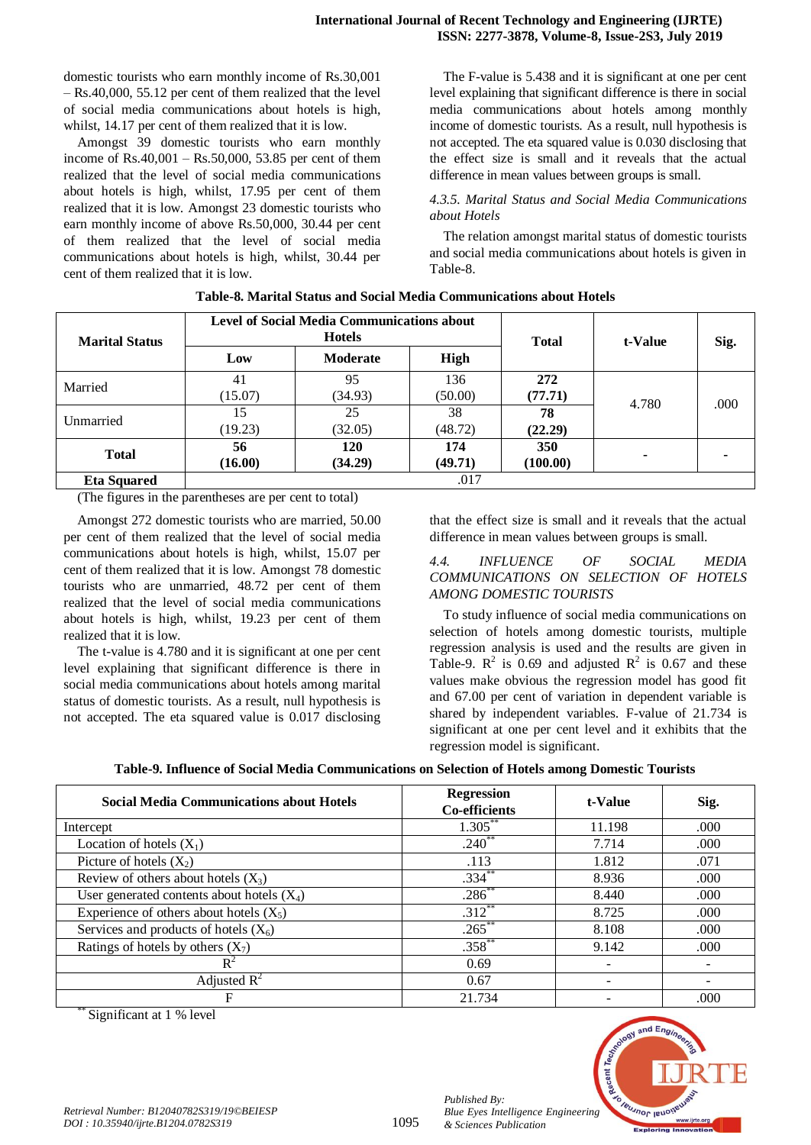domestic tourists who earn monthly income of Rs.30,001 – Rs.40,000, 55.12 per cent of them realized that the level of social media communications about hotels is high, whilst, 14.17 per cent of them realized that it is low.

Amongst 39 domestic tourists who earn monthly income of Rs.40,001 – Rs.50,000, 53.85 per cent of them realized that the level of social media communications about hotels is high, whilst, 17.95 per cent of them realized that it is low. Amongst 23 domestic tourists who earn monthly income of above Rs.50,000, 30.44 per cent of them realized that the level of social media communications about hotels is high, whilst, 30.44 per cent of them realized that it is low.

The F-value is 5.438 and it is significant at one per cent level explaining that significant difference is there in social media communications about hotels among monthly income of domestic tourists. As a result, null hypothesis is not accepted. The eta squared value is 0.030 disclosing that the effect size is small and it reveals that the actual difference in mean values between groups is small.

## *4.3.5. Marital Status and Social Media Communications about Hotels*

The relation amongst marital status of domestic tourists and social media communications about hotels is given in Table-8.

| <b>Marital Status</b>                                                                                                                                                                    |               | <b>Level of Social Media Communications about</b><br><b>Hotels</b> |                | <b>Total</b>    | t-Value | Sig. |
|------------------------------------------------------------------------------------------------------------------------------------------------------------------------------------------|---------------|--------------------------------------------------------------------|----------------|-----------------|---------|------|
|                                                                                                                                                                                          | Low           | <b>Moderate</b>                                                    | High           |                 |         |      |
| Married                                                                                                                                                                                  | 41<br>(15.07) | 95<br>(34.93)                                                      | 136<br>(50.00) | 272<br>(77.71)  | 4.780   | .000 |
| Unmarried                                                                                                                                                                                | 15<br>(19.23) | 25<br>(32.05)                                                      | 38<br>(48.72)  | 78<br>(22.29)   |         |      |
| <b>Total</b>                                                                                                                                                                             | 56<br>(16.00) | 120<br>(34.29)                                                     | 174<br>(49.71) | 350<br>(100.00) |         |      |
| <b>Eta Squared</b><br>$\sqrt{100}$ $\frac{1}{10}$ $\frac{1}{10}$ $\frac{1}{10}$ $\frac{1}{10}$ $\frac{1}{10}$ $\frac{1}{10}$ $\frac{1}{10}$ $\frac{1}{10}$ $\frac{1}{10}$ $\frac{1}{10}$ |               |                                                                    | .017           |                 |         |      |

| Table-8. Marital Status and Social Media Communications about Hotels |
|----------------------------------------------------------------------|
|----------------------------------------------------------------------|

(The figures in the parentheses are per cent to total)

Amongst 272 domestic tourists who are married, 50.00 per cent of them realized that the level of social media communications about hotels is high, whilst, 15.07 per cent of them realized that it is low. Amongst 78 domestic tourists who are unmarried, 48.72 per cent of them realized that the level of social media communications about hotels is high, whilst, 19.23 per cent of them realized that it is low.

The t-value is 4.780 and it is significant at one per cent level explaining that significant difference is there in social media communications about hotels among marital status of domestic tourists. As a result, null hypothesis is not accepted. The eta squared value is 0.017 disclosing

that the effect size is small and it reveals that the actual difference in mean values between groups is small.

## *4.4. INFLUENCE OF SOCIAL MEDIA COMMUNICATIONS ON SELECTION OF HOTELS AMONG DOMESTIC TOURISTS*

To study influence of social media communications on selection of hotels among domestic tourists, multiple regression analysis is used and the results are given in Table-9.  $\mathbb{R}^2$  is 0.69 and adjusted  $\mathbb{R}^2$  is 0.67 and these values make obvious the regression model has good fit and 67.00 per cent of variation in dependent variable is shared by independent variables. F-value of 21.734 is significant at one per cent level and it exhibits that the regression model is significant.

|  |  | Table-9. Influence of Social Media Communications on Selection of Hotels among Domestic Tourists |  |
|--|--|--------------------------------------------------------------------------------------------------|--|
|  |  |                                                                                                  |  |

| <b>Social Media Communications about Hotels</b> | <b>Regression</b><br><b>Co-efficients</b> | t-Value | Sig. |
|-------------------------------------------------|-------------------------------------------|---------|------|
| Intercept                                       | $1.305***$                                | 11.198  | .000 |
| Location of hotels $(X_1)$                      | $.240^{**}$                               | 7.714   | .000 |
| Picture of hotels $(X_2)$                       | .113                                      | 1.812   | .071 |
| Review of others about hotels $(X_3)$           | $.334***$                                 | 8.936   | .000 |
| User generated contents about hotels $(X_4)$    | $.286^{**}$                               | 8.440   | .000 |
| Experience of others about hotels $(X_5)$       | $.312***$                                 | 8.725   | .000 |
| Services and products of hotels $(X_6)$         | $.265***$                                 | 8.108   | .000 |
| Ratings of hotels by others $(X_7)$             | $.358^{**}$                               | 9.142   | .000 |
| $R^2$                                           | 0.69                                      |         |      |
| Adjusted $R^2$                                  | 0.67                                      |         |      |
| F                                               | 21.734                                    |         | .000 |

Significant at 1 % level



*Published By:*